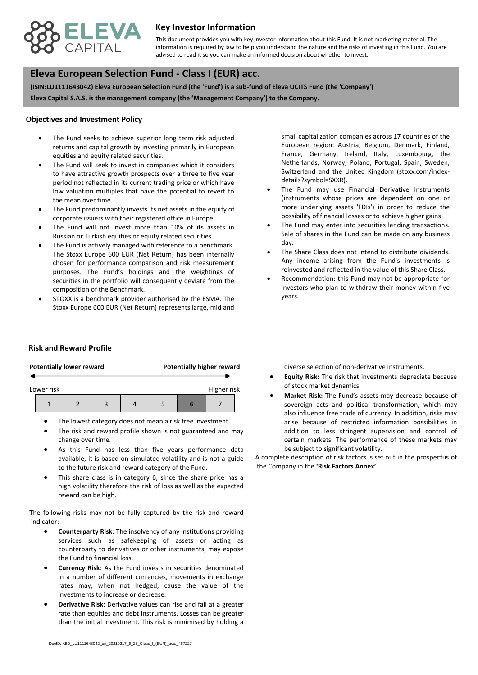

## **Key Investor Information**

advised to read it so you can make an informed decision about whether to invest. This document provides you with key investor information about this Fund. It is not marketing material. The information is required by law to help you understand the nature and the risks of investing in this Fund. You are

# **, Eleva European Selection Fund - Class I (EUR) acc.**

**(ISIN:LU1111643042) Eleva European Selection Fund (the 'Fund') is a sub-fund of Eleva UCITS Fund (the 'Company') Eleva Capital S.A.S. is the management company (the 'Management Company') to the Company.**

#### **Objectives and Investment Policy**

- equities and equity related securities. The Fund seeks to achieve superior long term risk adjusted returns and capital growth by investing primarily in European
- The Fund will seek to invest in companies which it considers to have attractive growth prospects over a three to five year period not reflected in its current trading price or which have low valuation multiples that have the potential to revert to the mean over time.
- The Fund predominantly invests its net assets in the equity of corporate issuers with their registered office in Europe.
- The Fund will not invest more than 10% of its assets in Russian or Turkish equities or equity related securities.
- The Fund is actively managed with reference to a benchmark. The Stoxx Europe 600 EUR (Net Return) has been internally chosen for performance comparison and risk measurement purposes. The Fund's holdings and the weightings of securities in the portfolio will consequently deviate from the composition of the Benchmark.
- STOXX is a benchmark provider authorised by the ESMA. The Stoxx Europe 600 EUR (Net Return) represents large, mid and

small capitalization companies across 17 countries of the European region: Austria, Belgium, Denmark, Finland, France, Germany, Ireland, Italy, Luxembourg, the Netherlands, Norway, Poland, Portugal, Spain, Sweden, Switzerland and the United Kingdom (stoxx.com/indexdetails?symbol=SXXR).

- The Fund may use Financial Derivative Instruments (instruments whose prices are dependent on one or more underlying assets 'FDIs') in order to reduce the possibility of financial losses or to achieve higher gains.
- The Fund may enter into securities lending transactions. Sale of shares in the Fund can be made on any business day.
- The Share Class does not intend to distribute dividends. Any income arising from the Fund's investments is reinvested and reflected in the value of this Share Class.
- Recommendation: this Fund may not be appropriate for investors who plan to withdraw their money within five years.

#### **Risk and Reward Profile**

|                           |  | <b>Potentially lower reward</b> |  | <b>Potentially higher reward</b> |  |   |  |  |
|---------------------------|--|---------------------------------|--|----------------------------------|--|---|--|--|
| Higher risk<br>Lower risk |  |                                 |  |                                  |  |   |  |  |
|                           |  |                                 |  |                                  |  | ь |  |  |

- The lowest category does not mean a risk free investment.
- The risk and reward profile shown is not guaranteed and may change over time.
- As this Fund has less than five years performance data available, it is based on simulated volatility and is not a guide to the future risk and reward category of the Fund.
- This share class is in category 6, since the share price has a high volatility therefore the risk of loss as well as the expected reward can be high.

The following risks may not be fully captured by the risk and reward indicator:

- **Counterparty Risk**: The insolvency of any institutions providing services such as safekeeping of assets or acting as counterparty to derivatives or other instruments, may expose the Fund to financial loss.
- **Currency Risk**: As the Fund invests in securities denominated in a number of different currencies, movements in exchange rates may, when not hedged, cause the value of the investments to increase or decrease.
- **Derivative Risk**: Derivative values can rise and fall at a greater rate than equities and debt instruments. Losses can be greater than the initial investment. This risk is minimised by holding a

diverse selection of non-derivative instruments.

- **Equity Risk:** The risk that investments depreciate because of stock market dynamics.
- **Market Risk:** The Fund's assets may decrease because of sovereign acts and political transformation, which may also influence free trade of currency. In addition, risks may arise because of restricted information possibilities in addition to less stringent supervision and control of certain markets. The performance of these markets may be subject to significant volatility.

A complete description of risk factors is set out in the prospectus of the Company in the **'Risk Factors Annex'**.